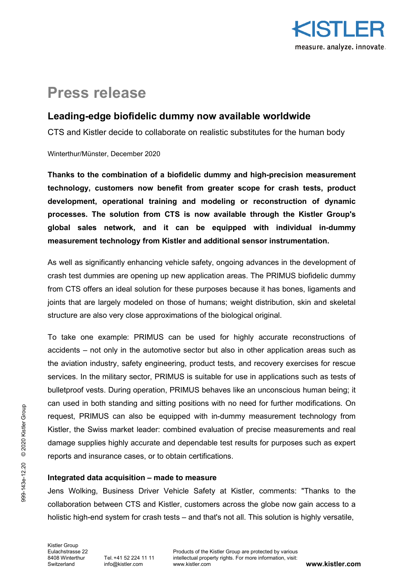

# **Press release**

## **Leading-edge biofidelic dummy now available worldwide**

CTS and Kistler decide to collaborate on realistic substitutes for the human body

Winterthur/Münster, December 2020

**Thanks to the combination of a biofidelic dummy and high-precision measurement technology, customers now benefit from greater scope for crash tests, product development, operational training and modeling or reconstruction of dynamic processes. The solution from CTS is now available through the Kistler Group's global sales network, and it can be equipped with individual in-dummy measurement technology from Kistler and additional sensor instrumentation.** 

As well as significantly enhancing vehicle safety, ongoing advances in the development of crash test dummies are opening up new application areas. The PRIMUS biofidelic dummy from CTS offers an ideal solution for these purposes because it has bones, ligaments and joints that are largely modeled on those of humans; weight distribution, skin and skeletal structure are also very close approximations of the biological original.

To take one example: PRIMUS can be used for highly accurate reconstructions of accidents – not only in the automotive sector but also in other application areas such as the aviation industry, safety engineering, product tests, and recovery exercises for rescue services. In the military sector, PRIMUS is suitable for use in applications such as tests of bulletproof vests. During operation, PRIMUS behaves like an unconscious human being; it can used in both standing and sitting positions with no need for further modifications. On request, PRIMUS can also be equipped with in-dummy measurement technology from Kistler, the Swiss market leader: combined evaluation of precise measurements and real damage supplies highly accurate and dependable test results for purposes such as expert reports and insurance cases, or to obtain certifications.

## **Integrated data acquisition – made to measure**

Jens Wolking, Business Driver Vehicle Safety at Kistler, comments: "Thanks to the collaboration between CTS and Kistler, customers across the globe now gain access to a holistic high-end system for crash tests – and that's not all. This solution is highly versatile,

Kistler Group<br>Eulachstrasse 22 Switzerland [info@kistler.com](mailto:info@kistler.com)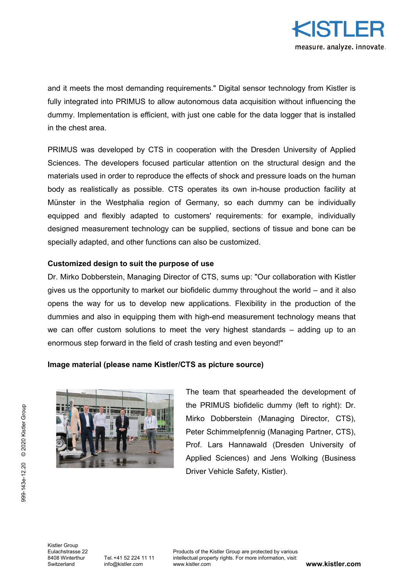

and it meets the most demanding requirements." Digital sensor technology from Kistler is fully integrated into PRIMUS to allow autonomous data acquisition without influencing the dummy. Implementation is efficient, with just one cable for the data logger that is installed in the chest area.

PRIMUS was developed by CTS in cooperation with the Dresden University of Applied Sciences. The developers focused particular attention on the structural design and the materials used in order to reproduce the effects of shock and pressure loads on the human body as realistically as possible. CTS operates its own in-house production facility at Münster in the Westphalia region of Germany, so each dummy can be individually equipped and flexibly adapted to customers' requirements: for example, individually designed measurement technology can be supplied, sections of tissue and bone can be specially adapted, and other functions can also be customized.

### **Customized design to suit the purpose of use**

Dr. Mirko Dobberstein, Managing Director of CTS, sums up: "Our collaboration with Kistler gives us the opportunity to market our biofidelic dummy throughout the world – and it also opens the way for us to develop new applications. Flexibility in the production of the dummies and also in equipping them with high-end measurement technology means that we can offer custom solutions to meet the very highest standards – adding up to an enormous step forward in the field of crash testing and even beyond!"

#### **Image material (please name Kistler/CTS as picture source)**



The team that spearheaded the development of the PRIMUS biofidelic dummy (left to right): Dr. Mirko Dobberstein (Managing Director, CTS), Peter Schimmelpfennig (Managing Partner, CTS), Prof. Lars Hannawald (Dresden University of Applied Sciences) and Jens Wolking (Business Driver Vehicle Safety, Kistler).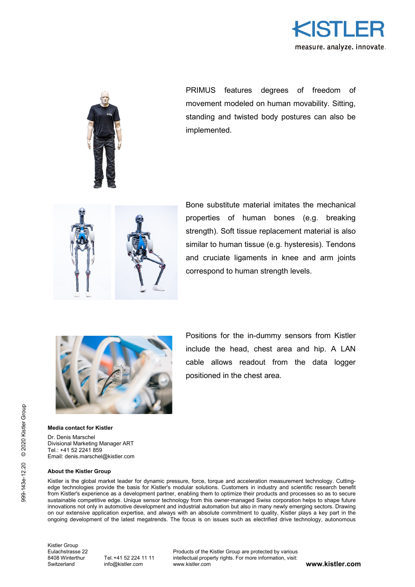



PRIMUS features degrees of freedom of movement modeled on human movability. Sitting, standing and twisted body postures can also be implemented.



Bone substitute material imitates the mechanical properties of human bones (e.g. breaking strength). Soft tissue replacement material is also similar to human tissue (e.g. hysteresis). Tendons and cruciate ligaments in knee and arm joints correspond to human strength levels.



Positions for the in-dummy sensors from Kistler include the head, chest area and hip. A LAN cable allows readout from the data logger positioned in the chest area.

#### **Media contact for Kistler**

Dr. Denis Marschel Divisional Marketing Manager ART Tel.: +41 52 2241 859 Email: denis.marschel@kistler.com

#### **About the Kistler Group**

Kistler is the global market leader for dynamic pressure, force, torque and acceleration measurement technology. Cuttingedge technologies provide the basis for Kistler's modular solutions. Customers in industry and scientific research benefit from Kistler's experience as a development partner, enabling them to optimize their products and processes so as to secure sustainable competitive edge. Unique sensor technology from this owner-managed Swiss corporation helps to shape future innovations not only in automotive development and industrial automation but also in many newly emerging sectors. Drawing on our extensive application expertise, and always with an absolute commitment to quality, Kistler plays a key part in the ongoing development of the latest megatrends. The focus is on issues such as electrified drive technology, autonomous

Kistler Group<br>Eulachstrasse 22

[info@kistler.com](mailto:info@kistler.com)

Eulachstrasse 22 Froducts of the Kistler Group are protected by various<br>
8408 Winterthur Tel. +41 52 224 11 11 intellectual property rights. For more information, visit: 8408 Winterthur Tel. +41 52 224 11 11 intellectual property rights. For more information, visit:<br>Switzerland info@kistler com www.kistler.com